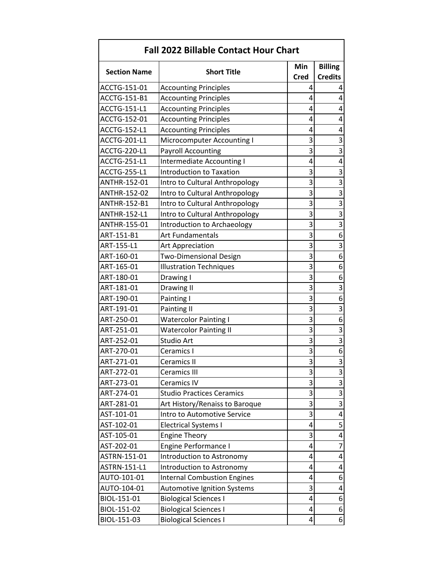| <b>Fall 2022 Billable Contact Hour Chart</b> |                                    |             |                         |
|----------------------------------------------|------------------------------------|-------------|-------------------------|
| <b>Section Name</b>                          | <b>Short Title</b>                 | Min         | <b>Billing</b>          |
|                                              |                                    | <b>Cred</b> | <b>Credits</b>          |
| ACCTG-151-01                                 | <b>Accounting Principles</b>       | 4           | 4                       |
| <b>ACCTG-151-B1</b>                          | <b>Accounting Principles</b>       | 4           | 4                       |
| <b>ACCTG-151-L1</b>                          | <b>Accounting Principles</b>       | 4           | 4                       |
| ACCTG-152-01                                 | <b>Accounting Principles</b>       | 4           | 4                       |
| ACCTG-152-L1                                 | <b>Accounting Principles</b>       | 4           | 4                       |
| ACCTG-201-L1                                 | Microcomputer Accounting I         | 3           | 3                       |
| <b>ACCTG-220-L1</b>                          | <b>Payroll Accounting</b>          | 3           | 3                       |
| <b>ACCTG-251-L1</b>                          | Intermediate Accounting I          | 4           | 4                       |
| ACCTG-255-L1                                 | <b>Introduction to Taxation</b>    | 3           | 3                       |
| ANTHR-152-01                                 | Intro to Cultural Anthropology     | 3           | 3                       |
| ANTHR-152-02                                 | Intro to Cultural Anthropology     | 3           | 3                       |
| ANTHR-152-B1                                 | Intro to Cultural Anthropology     | 3           | 3                       |
| ANTHR-152-L1                                 | Intro to Cultural Anthropology     | 3           | 3                       |
| ANTHR-155-01                                 | Introduction to Archaeology        | 3           | $\overline{\mathbf{3}}$ |
| ART-151-B1                                   | <b>Art Fundamentals</b>            | 3           | 6                       |
| ART-155-L1                                   | Art Appreciation                   | 3           | 3                       |
| ART-160-01                                   | <b>Two-Dimensional Design</b>      | 3           | 6                       |
| ART-165-01                                   | <b>Illustration Techniques</b>     | 3           | 6                       |
| ART-180-01                                   | Drawing I                          | 3           | 6                       |
| ART-181-01                                   | Drawing II                         | 3           | 3                       |
| ART-190-01                                   | Painting I                         | 3           | 6                       |
| ART-191-01                                   | Painting II                        | 3           | 3                       |
| ART-250-01                                   | <b>Watercolor Painting I</b>       | 3           | 6                       |
| ART-251-01                                   | <b>Watercolor Painting II</b>      | 3           | 3                       |
| ART-252-01                                   | Studio Art                         | 3           | 3                       |
| ART-270-01                                   | Ceramics I                         | 3           | 6                       |
| ART-271-01                                   | <b>Ceramics II</b>                 | 3           | $\overline{3}$          |
| ART-272-01                                   | Ceramics III                       | 3           | 3                       |
| ART-273-01                                   | Ceramics IV                        | 3           | 3                       |
| ART-274-01                                   | <b>Studio Practices Ceramics</b>   | 3           | 3                       |
| ART-281-01                                   | Art History/Renaiss to Baroque     | 3           | 3                       |
| AST-101-01                                   | Intro to Automotive Service        | 3           | 4                       |
| AST-102-01                                   | <b>Electrical Systems I</b>        | 4           | 5                       |
| AST-105-01                                   | <b>Engine Theory</b>               | 3           | 4                       |
| AST-202-01                                   | Engine Performance I               | 4           | 7                       |
| ASTRN-151-01                                 | Introduction to Astronomy          | 4           | 4                       |
| ASTRN-151-L1                                 | Introduction to Astronomy          | 4           | 4                       |
| AUTO-101-01                                  | <b>Internal Combustion Engines</b> | 4           | 6                       |
| AUTO-104-01                                  | <b>Automotive Ignition Systems</b> | 3           | 4                       |
| BIOL-151-01                                  | <b>Biological Sciences I</b>       | 4           | 6                       |
| BIOL-151-02                                  | <b>Biological Sciences I</b>       | 4           | 6                       |
| BIOL-151-03                                  | <b>Biological Sciences I</b>       | 4           | 6                       |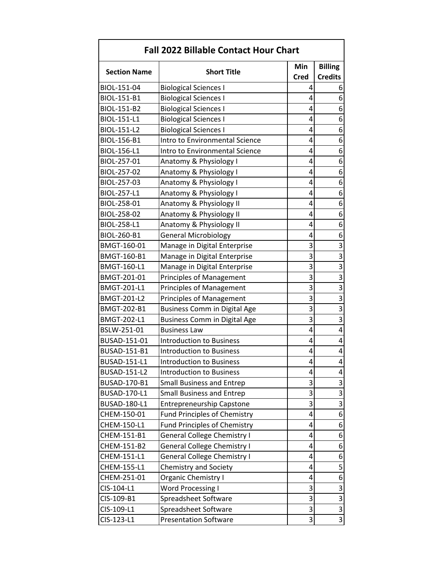| <b>Fall 2022 Billable Contact Hour Chart</b> |                                     |                |                         |
|----------------------------------------------|-------------------------------------|----------------|-------------------------|
|                                              | Min                                 | <b>Billing</b> |                         |
| <b>Section Name</b>                          | <b>Short Title</b>                  | <b>Cred</b>    | <b>Credits</b>          |
| BIOL-151-04                                  | <b>Biological Sciences I</b>        | 4              | 6                       |
| BIOL-151-B1                                  | <b>Biological Sciences I</b>        | 4              | 6                       |
| BIOL-151-B2                                  | <b>Biological Sciences I</b>        | 4              | 6                       |
| BIOL-151-L1                                  | <b>Biological Sciences I</b>        | 4              | 6                       |
| BIOL-151-L2                                  | <b>Biological Sciences I</b>        | 4              | 6                       |
| BIOL-156-B1                                  | Intro to Environmental Science      | 4              | 6                       |
| BIOL-156-L1                                  | Intro to Environmental Science      | 4              | 6                       |
| BIOL-257-01                                  | Anatomy & Physiology I              | 4              | 6                       |
| BIOL-257-02                                  | Anatomy & Physiology I              | 4              | 6                       |
| BIOL-257-03                                  | Anatomy & Physiology I              | 4              | 6                       |
| BIOL-257-L1                                  | Anatomy & Physiology I              | 4              | 6                       |
| BIOL-258-01                                  | Anatomy & Physiology II             | 4              | 6                       |
| BIOL-258-02                                  | Anatomy & Physiology II             | 4              | 6                       |
| BIOL-258-L1                                  | Anatomy & Physiology II             | 4              | 6                       |
| BIOL-260-B1                                  | <b>General Microbiology</b>         | 4              | 6                       |
| BMGT-160-01                                  | Manage in Digital Enterprise        | 3              | 3                       |
| <b>BMGT-160-B1</b>                           | Manage in Digital Enterprise        | 3              | 3                       |
| <b>BMGT-160-L1</b>                           | Manage in Digital Enterprise        | 3              | 3                       |
| BMGT-201-01                                  | <b>Principles of Management</b>     | 3              | 3                       |
| <b>BMGT-201-L1</b>                           | <b>Principles of Management</b>     | 3              | 3                       |
| <b>BMGT-201-L2</b>                           | <b>Principles of Management</b>     | 3              | $\overline{\mathbf{3}}$ |
| <b>BMGT-202-B1</b>                           | <b>Business Comm in Digital Age</b> | 3              | 3                       |
| <b>BMGT-202-L1</b>                           | <b>Business Comm in Digital Age</b> | 3              | 3                       |
| BSLW-251-01                                  | <b>Business Law</b>                 | 4              | 4                       |
| BUSAD-151-01                                 | <b>Introduction to Business</b>     | 4              | 4                       |
| BUSAD-151-B1                                 | <b>Introduction to Business</b>     | 4              | 4                       |
| <b>BUSAD-151-L1</b>                          | <b>Introduction to Business</b>     | 4              | 4                       |
| <b>BUSAD-151-L2</b>                          | <b>Introduction to Business</b>     | 4              | 4                       |
| BUSAD-170-B1                                 | <b>Small Business and Entrep</b>    | 3              | 3                       |
| BUSAD-170-L1                                 | <b>Small Business and Entrep</b>    | 3              | 3                       |
| BUSAD-180-L1                                 | <b>Entrepreneurship Capstone</b>    | 3              | $\overline{3}$          |
| CHEM-150-01                                  | <b>Fund Principles of Chemistry</b> | 4              | 6                       |
| CHEM-150-L1                                  | <b>Fund Principles of Chemistry</b> | 4              | 6                       |
| CHEM-151-B1                                  | <b>General College Chemistry I</b>  | 4              | 6                       |
| CHEM-151-B2                                  | <b>General College Chemistry I</b>  | 4              | 6                       |
| CHEM-151-L1                                  | <b>General College Chemistry I</b>  | 4              | 6                       |
| CHEM-155-L1                                  | Chemistry and Society               | 4              | 5                       |
| CHEM-251-01                                  | Organic Chemistry I                 | 4              | 6                       |
| CIS-104-L1                                   | <b>Word Processing I</b>            | 3              | 3                       |
| CIS-109-B1                                   | Spreadsheet Software                | 3              | $\overline{\mathbf{3}}$ |
| CIS-109-L1                                   | Spreadsheet Software                | 3              | 3                       |
| CIS-123-L1                                   | <b>Presentation Software</b>        | 3              | 3                       |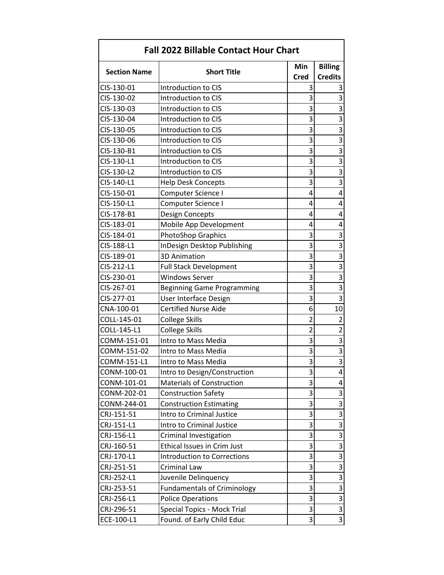| <b>Fall 2022 Billable Contact Hour Chart</b> |                                    |                |                         |
|----------------------------------------------|------------------------------------|----------------|-------------------------|
|                                              | Min                                | <b>Billing</b> |                         |
| <b>Section Name</b>                          | <b>Short Title</b>                 | <b>Cred</b>    | <b>Credits</b>          |
| CIS-130-01                                   | Introduction to CIS                | 3              | 3                       |
| CIS-130-02                                   | Introduction to CIS                | 3              | 3                       |
| CIS-130-03                                   | Introduction to CIS                | 3              | 3                       |
| CIS-130-04                                   | Introduction to CIS                | 3              | 3                       |
| CIS-130-05                                   | Introduction to CIS                | 3              | 3                       |
| CIS-130-06                                   | <b>Introduction to CIS</b>         | 3              | 3                       |
| CIS-130-B1                                   | Introduction to CIS                | 3              | 3                       |
| CIS-130-L1                                   | Introduction to CIS                | 3              | 3                       |
| CIS-130-L2                                   | Introduction to CIS                | 3              | $\overline{3}$          |
| CIS-140-L1                                   | <b>Help Desk Concepts</b>          | 3              | 3                       |
| CIS-150-01                                   | Computer Science I                 | 4              | 4                       |
| CIS-150-L1                                   | Computer Science I                 | 4              | 4                       |
| CIS-178-B1                                   | Design Concepts                    | 4              | 4                       |
| CIS-183-01                                   | Mobile App Development             | 4              | 4                       |
| CIS-184-01                                   | <b>PhotoShop Graphics</b>          | 3              | 3                       |
| CIS-188-L1                                   | InDesign Desktop Publishing        | 3              | 3                       |
| CIS-189-01                                   | <b>3D Animation</b>                | 3              | 3                       |
| CIS-212-L1                                   | <b>Full Stack Development</b>      | 3              | 3                       |
| CIS-230-01                                   | <b>Windows Server</b>              | 3              | 3                       |
| CIS-267-01                                   | <b>Beginning Game Programming</b>  | 3              | 3                       |
| CIS-277-01                                   | User Interface Design              | 3              | 3                       |
| CNA-100-01                                   | <b>Certified Nurse Aide</b>        | 6              | 10                      |
| COLL-145-01                                  | <b>College Skills</b>              | $\overline{2}$ | $\overline{2}$          |
| COLL-145-L1                                  | <b>College Skills</b>              | $\overline{2}$ | $\overline{2}$          |
| COMM-151-01                                  | Intro to Mass Media                | 3              | 3                       |
| COMM-151-02                                  | Intro to Mass Media                | 3              | 3                       |
| COMM-151-L1                                  | Intro to Mass Media                | 3              | $\overline{3}$          |
| CONM-100-01                                  | Intro to Design/Construction       | 3              | 4                       |
| CONM-101-01                                  | <b>Materials of Construction</b>   | 3              | 4                       |
| CONM-202-01                                  | <b>Construction Safety</b>         | 3              | 3                       |
| CONM-244-01                                  | <b>Construction Estimating</b>     | 3              | 3                       |
| CRJ-151-51                                   | Intro to Criminal Justice          | 3              | $\overline{\mathbf{3}}$ |
| CRJ-151-L1                                   | Intro to Criminal Justice          | 3              | 3                       |
| CRJ-156-L1                                   | Criminal Investigation             | 3              | $\overline{3}$          |
| CRJ-160-51                                   | Ethical Issues in Crim Just        | 3              | 3                       |
| CRJ-170-L1                                   | <b>Introduction to Corrections</b> | 3              | 3                       |
| CRJ-251-51                                   | Criminal Law                       | 3              | 3                       |
| CRJ-252-L1                                   | Juvenile Delinquency               | 3              | 3                       |
| CRJ-253-51                                   | <b>Fundamentals of Criminology</b> | 3              | 3                       |
| CRJ-256-L1                                   | <b>Police Operations</b>           | 3              | $\overline{\mathbf{3}}$ |
| CRJ-296-51                                   | Special Topics - Mock Trial        | 3              | 3                       |
| ECE-100-L1                                   | Found. of Early Child Educ         | 3              | 3                       |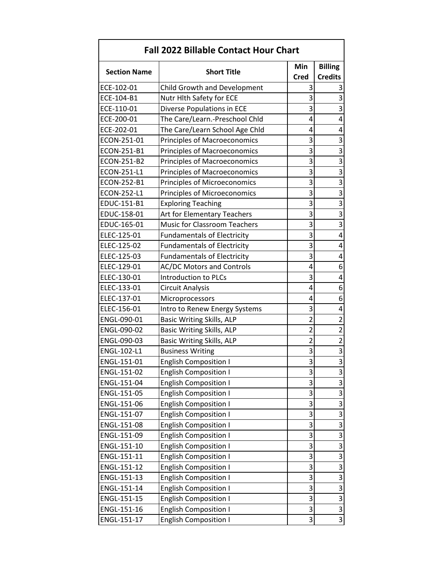| <b>Fall 2022 Billable Contact Hour Chart</b> |                                     |                |                           |
|----------------------------------------------|-------------------------------------|----------------|---------------------------|
| <b>Section Name</b>                          | <b>Short Title</b>                  | Min            | <b>Billing</b>            |
|                                              |                                     | <b>Cred</b>    | <b>Credits</b>            |
| ECE-102-01                                   | Child Growth and Development        | 3              | 3                         |
| ECE-104-B1                                   | Nutr Hlth Safety for ECE            | 3              | 3                         |
| ECE-110-01                                   | Diverse Populations in ECE          | 3              | 3                         |
| ECE-200-01                                   | The Care/Learn.-Preschool Chld      | 4              | 4                         |
| ECE-202-01                                   | The Care/Learn School Age Chld      | 4              | 4                         |
| ECON-251-01                                  | <b>Principles of Macroeconomics</b> | 3              | $\overline{3}$            |
| ECON-251-B1                                  | Principles of Macroeconomics        | 3              | $\overline{3}$            |
| ECON-251-B2                                  | Principles of Macroeconomics        | 3              | 3                         |
| ECON-251-L1                                  | <b>Principles of Macroeconomics</b> | 3              | $\overline{\mathbf{3}}$   |
| ECON-252-B1                                  | Principles of Microeconomics        | 3              | $\overline{3}$            |
| ECON-252-L1                                  | Principles of Microeconomics        | 3              | 3                         |
| EDUC-151-B1                                  | <b>Exploring Teaching</b>           | 3              | $\overline{3}$            |
| EDUC-158-01                                  | Art for Elementary Teachers         | 3              | $\overline{3}$            |
| EDUC-165-01                                  | Music for Classroom Teachers        | 3              | $\overline{3}$            |
| ELEC-125-01                                  | <b>Fundamentals of Electricity</b>  | 3              | 4                         |
| ELEC-125-02                                  | <b>Fundamentals of Electricity</b>  | 3              | 4                         |
| ELEC-125-03                                  | <b>Fundamentals of Electricity</b>  | 3              | 4                         |
| ELEC-129-01                                  | <b>AC/DC Motors and Controls</b>    | 4              | 6                         |
| ELEC-130-01                                  | Introduction to PLCs                | 3              | 4                         |
| ELEC-133-01                                  | Circuit Analysis                    | 4              | 6                         |
| ELEC-137-01                                  | Microprocessors                     | 4              | 6                         |
| ELEC-156-01                                  | Intro to Renew Energy Systems       | 3              | 4                         |
| ENGL-090-01                                  | Basic Writing Skills, ALP           | $\overline{2}$ | $\overline{2}$            |
| ENGL-090-02                                  | Basic Writing Skills, ALP           | $\overline{2}$ | $\overline{c}$            |
| ENGL-090-03                                  | <b>Basic Writing Skills, ALP</b>    | $\overline{2}$ | $\overline{2}$            |
| ENGL-102-L1                                  | <b>Business Writing</b>             | 3              | $\overline{3}$            |
| ENGL-151-01                                  | <b>English Composition I</b>        | 3              | $\overline{3}$            |
| ENGL-151-02                                  | <b>English Composition I</b>        | 3              | 3                         |
| ENGL-151-04                                  | <b>English Composition I</b>        | 3              | 3                         |
| ENGL-151-05                                  | <b>English Composition I</b>        | 3              | 3                         |
| ENGL-151-06                                  | <b>English Composition I</b>        | 3              | $\overline{3}$            |
| ENGL-151-07                                  | <b>English Composition I</b>        | 3              | $\overline{3}$            |
| ENGL-151-08                                  | <b>English Composition I</b>        | 3              | $\overline{3}$            |
| ENGL-151-09                                  | <b>English Composition I</b>        | 3              | $\overline{3}$            |
| ENGL-151-10                                  | <b>English Composition I</b>        | 3              | $\overline{3}$            |
| ENGL-151-11                                  | <b>English Composition I</b>        | 3              | $\overline{\mathbf{3}}$   |
| ENGL-151-12                                  | <b>English Composition I</b>        | 3              | $\overline{\overline{3}}$ |
| ENGL-151-13                                  | <b>English Composition I</b>        | 3              | $\overline{3}$            |
| ENGL-151-14                                  | <b>English Composition I</b>        | 3              | $\overline{\mathbf{3}}$   |
| ENGL-151-15                                  | <b>English Composition I</b>        | 3              | $\overline{3}$            |
| ENGL-151-16                                  | <b>English Composition I</b>        | 3              | $\overline{3}$            |
| ENGL-151-17                                  | <b>English Composition I</b>        | 3              | $\overline{3}$            |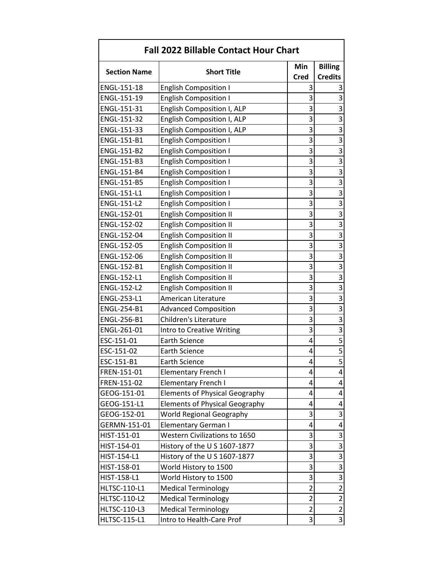| <b>Fall 2022 Billable Contact Hour Chart</b> |                                       |                |                         |
|----------------------------------------------|---------------------------------------|----------------|-------------------------|
|                                              |                                       | Min            | <b>Billing</b>          |
| <b>Section Name</b>                          | <b>Short Title</b>                    | <b>Cred</b>    | <b>Credits</b>          |
| ENGL-151-18                                  | <b>English Composition I</b>          | 3              | 3                       |
| ENGL-151-19                                  | <b>English Composition I</b>          | 3              | 3                       |
| ENGL-151-31                                  | English Composition I, ALP            | 3              | 3                       |
| ENGL-151-32                                  | English Composition I, ALP            | 3              | $\overline{3}$          |
| ENGL-151-33                                  | English Composition I, ALP            | 3              | 3                       |
| ENGL-151-B1                                  | <b>English Composition I</b>          | 3              | $\overline{3}$          |
| ENGL-151-B2                                  | <b>English Composition I</b>          | 3              | 3                       |
| ENGL-151-B3                                  | <b>English Composition I</b>          | 3              | $\overline{3}$          |
| <b>ENGL-151-B4</b>                           | <b>English Composition I</b>          | 3              | $\overline{3}$          |
| ENGL-151-B5                                  | <b>English Composition I</b>          | 3              | $\overline{3}$          |
| ENGL-151-L1                                  | <b>English Composition I</b>          | 3              | $\overline{3}$          |
| <b>ENGL-151-L2</b>                           | <b>English Composition I</b>          | 3              | 3                       |
| ENGL-152-01                                  | <b>English Composition II</b>         | 3              | 3                       |
| ENGL-152-02                                  | <b>English Composition II</b>         | 3              | $\overline{\mathbf{3}}$ |
| ENGL-152-04                                  | <b>English Composition II</b>         | 3              | $\overline{3}$          |
| ENGL-152-05                                  | <b>English Composition II</b>         | 3              | 3                       |
| ENGL-152-06                                  | <b>English Composition II</b>         | 3              | $\overline{3}$          |
| ENGL-152-B1                                  | <b>English Composition II</b>         | 3              | $\overline{3}$          |
| <b>ENGL-152-L1</b>                           | <b>English Composition II</b>         | 3              | 3                       |
| <b>ENGL-152-L2</b>                           | <b>English Composition II</b>         | 3              | 3                       |
| ENGL-253-L1                                  | American Literature                   | 3              | $\overline{3}$          |
| ENGL-254-B1                                  | <b>Advanced Composition</b>           | 3              | 3                       |
| <b>ENGL-256-B1</b>                           | Children's Literature                 | 3              | $\overline{3}$          |
| ENGL-261-01                                  | Intro to Creative Writing             | 3              | $\overline{3}$          |
| ESC-151-01                                   | <b>Earth Science</b>                  | 4              | 5                       |
| ESC-151-02                                   | <b>Earth Science</b>                  | 4              | $\frac{5}{5}$           |
| ESC-151-B1                                   | <b>Earth Science</b>                  | 4              |                         |
| FREN-151-01                                  | <b>Elementary French I</b>            | 4              | 4                       |
| FREN-151-02                                  | <b>Elementary French I</b>            | 4              | 4                       |
| GEOG-151-01                                  | <b>Elements of Physical Geography</b> | 4              | 4                       |
| GEOG-151-L1                                  | <b>Elements of Physical Geography</b> | 4              | 4                       |
| GEOG-152-01                                  | <b>World Regional Geography</b>       | 3              | 3                       |
| GERMN-151-01                                 | <b>Elementary German I</b>            | 4              | 4                       |
| HIST-151-01                                  | Western Civilizations to 1650         | 3              | 3                       |
| HIST-154-01                                  | History of the U S 1607-1877          | 3              | $\overline{3}$          |
| HIST-154-L1                                  | History of the U S 1607-1877          | 3              | $\overline{3}$          |
| HIST-158-01                                  | World History to 1500                 | 3              | $\overline{\mathbf{3}}$ |
| HIST-158-L1                                  | World History to 1500                 | 3              | 3                       |
| <b>HLTSC-110-L1</b>                          | <b>Medical Terminology</b>            | $\overline{2}$ | $\overline{2}$          |
| <b>HLTSC-110-L2</b>                          | <b>Medical Terminology</b>            | $\overline{c}$ | $\overline{2}$          |
| <b>HLTSC-110-L3</b>                          | <b>Medical Terminology</b>            | $\overline{2}$ | $\overline{c}$          |
| <b>HLTSC-115-L1</b>                          | Intro to Health-Care Prof             | 3              | $\overline{3}$          |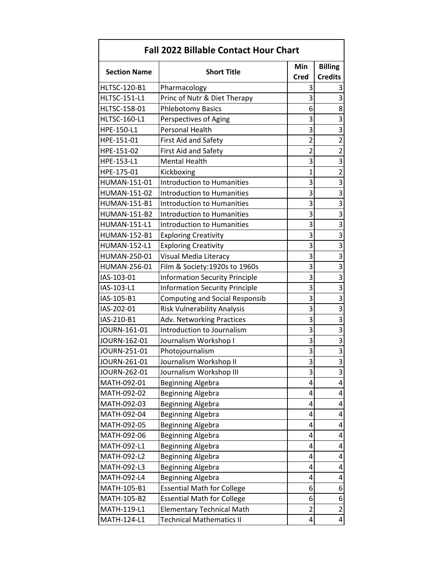| <b>Fall 2022 Billable Contact Hour Chart</b> |                                       |                |                         |
|----------------------------------------------|---------------------------------------|----------------|-------------------------|
| <b>Section Name</b>                          | <b>Short Title</b>                    | Min            | <b>Billing</b>          |
|                                              |                                       | <b>Cred</b>    | <b>Credits</b>          |
| <b>HLTSC-120-B1</b>                          | Pharmacology                          | 3              | 3                       |
| <b>HLTSC-151-L1</b>                          | Princ of Nutr & Diet Therapy          | 3              | 3                       |
| HLTSC-158-01                                 | <b>Phlebotomy Basics</b>              | 6              | 8                       |
| <b>HLTSC-160-L1</b>                          | Perspectives of Aging                 | 3              | 3                       |
| HPE-150-L1                                   | <b>Personal Health</b>                | 3              | 3                       |
| HPE-151-01                                   | <b>First Aid and Safety</b>           | $\overline{2}$ | $\overline{2}$          |
| HPE-151-02                                   | First Aid and Safety                  | $\overline{c}$ | $\overline{2}$          |
| HPE-153-L1                                   | <b>Mental Health</b>                  | 3              | 3                       |
| HPE-175-01                                   | Kickboxing                            | $\overline{1}$ | $\overline{2}$          |
| HUMAN-151-01                                 | <b>Introduction to Humanities</b>     | 3              | 3                       |
| HUMAN-151-02                                 | <b>Introduction to Humanities</b>     | 3              | 3                       |
| <b>HUMAN-151-B1</b>                          | <b>Introduction to Humanities</b>     | 3              | 3                       |
| <b>HUMAN-151-B2</b>                          | <b>Introduction to Humanities</b>     | 3              | 3                       |
| <b>HUMAN-151-L1</b>                          | <b>Introduction to Humanities</b>     | 3              | $\overline{\mathbf{3}}$ |
| <b>HUMAN-152-B1</b>                          | <b>Exploring Creativity</b>           | 3              | 3                       |
| <b>HUMAN-152-L1</b>                          | <b>Exploring Creativity</b>           | 3              | 3                       |
| HUMAN-250-01                                 | Visual Media Literacy                 | 3              | 3                       |
| HUMAN-256-01                                 | Film & Society:1920s to 1960s         | 3              | 3                       |
| IAS-103-01                                   | <b>Information Security Principle</b> | 3              | 3                       |
| IAS-103-L1                                   | <b>Information Security Principle</b> | 3              | 3                       |
| IAS-105-B1                                   | <b>Computing and Social Responsib</b> | 3              | $\overline{\mathbf{3}}$ |
| IAS-202-01                                   | Risk Vulnerability Analysis           | 3              | 3                       |
| IAS-210-B1                                   | <b>Adv. Networking Practices</b>      | 3              | 3                       |
| JOURN-161-01                                 | Introduction to Journalism            | 3              | $\overline{3}$          |
| JOURN-162-01                                 | Journalism Workshop I                 | 3              | 3                       |
| JOURN-251-01                                 | Photojournalism                       | 3              | 3                       |
| JOURN-261-01                                 | Journalism Workshop II                | 3              | $\overline{3}$          |
| JOURN-262-01                                 | Journalism Workshop III               | 3              | 3                       |
| MATH-092-01                                  | <b>Beginning Algebra</b>              | 4              | 4                       |
| MATH-092-02                                  | <b>Beginning Algebra</b>              | 4              | 4                       |
| MATH-092-03                                  | <b>Beginning Algebra</b>              | 4              | 4                       |
| MATH-092-04                                  | <b>Beginning Algebra</b>              | 4              | 4                       |
| MATH-092-05                                  | Beginning Algebra                     | 4              | 4                       |
| MATH-092-06                                  | <b>Beginning Algebra</b>              | 4              | 4                       |
| MATH-092-L1                                  | <b>Beginning Algebra</b>              | 4              | 4                       |
| MATH-092-L2                                  | <b>Beginning Algebra</b>              | 4              | 4                       |
| MATH-092-L3                                  | <b>Beginning Algebra</b>              | 4              | 4                       |
| MATH-092-L4                                  | <b>Beginning Algebra</b>              | 4              | 4                       |
| MATH-105-B1                                  | <b>Essential Math for College</b>     | 6              | 6                       |
| MATH-105-B2                                  | <b>Essential Math for College</b>     | 6              | 6                       |
| MATH-119-L1                                  | <b>Elementary Technical Math</b>      | $\overline{2}$ | $\overline{2}$          |
| MATH-124-L1                                  | <b>Technical Mathematics II</b>       | 4              | 4                       |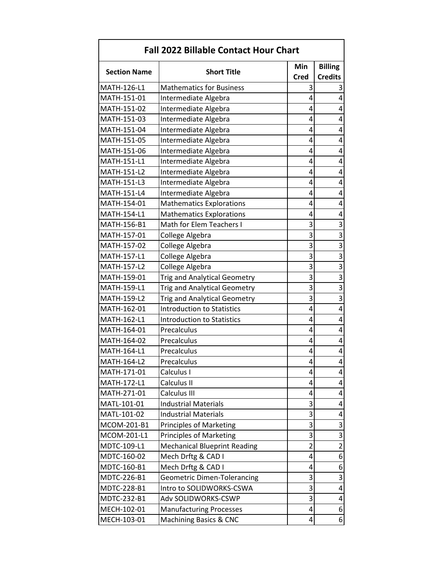| <b>Fall 2022 Billable Contact Hour Chart</b> |                                     |                |                         |
|----------------------------------------------|-------------------------------------|----------------|-------------------------|
|                                              |                                     | Min            | <b>Billing</b>          |
| <b>Section Name</b>                          | <b>Short Title</b>                  | <b>Cred</b>    | <b>Credits</b>          |
| MATH-126-L1                                  | <b>Mathematics for Business</b>     | 3              | 3                       |
| MATH-151-01                                  | Intermediate Algebra                | 4              | 4                       |
| MATH-151-02                                  | Intermediate Algebra                | 4              | 4                       |
| MATH-151-03                                  | Intermediate Algebra                | 4              | 4                       |
| MATH-151-04                                  | Intermediate Algebra                | 4              | 4                       |
| MATH-151-05                                  | Intermediate Algebra                | 4              | 4                       |
| MATH-151-06                                  | Intermediate Algebra                | 4              | 4                       |
| MATH-151-L1                                  | Intermediate Algebra                | 4              | 4                       |
| MATH-151-L2                                  | Intermediate Algebra                | 4              | 4                       |
| MATH-151-L3                                  | Intermediate Algebra                | 4              | 4                       |
| MATH-151-L4                                  | Intermediate Algebra                | 4              | 4                       |
| MATH-154-01                                  | <b>Mathematics Explorations</b>     | 4              | 4                       |
| MATH-154-L1                                  | <b>Mathematics Explorations</b>     | 4              | 4                       |
| MATH-156-B1                                  | Math for Elem Teachers I            | 3              | 3                       |
| MATH-157-01                                  | College Algebra                     | 3              | $\overline{3}$          |
| MATH-157-02                                  | College Algebra                     | 3              | $\overline{3}$          |
| MATH-157-L1                                  | College Algebra                     | 3              | 3                       |
| MATH-157-L2                                  | College Algebra                     | 3              | $\overline{3}$          |
| MATH-159-01                                  | <b>Trig and Analytical Geometry</b> | 3              | $\overline{3}$          |
| MATH-159-L1                                  | <b>Trig and Analytical Geometry</b> | 3              | 3                       |
| MATH-159-L2                                  | <b>Trig and Analytical Geometry</b> | 3              | $\overline{\mathbf{3}}$ |
| MATH-162-01                                  | <b>Introduction to Statistics</b>   | 4              | 4                       |
| MATH-162-L1                                  | <b>Introduction to Statistics</b>   | 4              | 4                       |
| MATH-164-01                                  | Precalculus                         | 4              | 4                       |
| MATH-164-02                                  | Precalculus                         | 4              | 4                       |
| MATH-164-L1                                  | Precalculus                         | 4              | 4                       |
| MATH-164-L2                                  | Precalculus                         | 4              | 4                       |
| MATH-171-01                                  | Calculus I                          | 4              | 4                       |
| MATH-172-L1                                  | Calculus II                         | 4              | 4                       |
| MATH-271-01                                  | Calculus III                        | 4              | 4                       |
| MATL-101-01                                  | <b>Industrial Materials</b>         | 3              | 4                       |
| MATL-101-02                                  | <b>Industrial Materials</b>         | 3              | 4                       |
| MCOM-201-B1                                  | <b>Principles of Marketing</b>      | 3              | 3                       |
| MCOM-201-L1                                  | <b>Principles of Marketing</b>      | 3              | $\overline{3}$          |
| MDTC-109-L1                                  | <b>Mechanical Blueprint Reading</b> | $\overline{2}$ | $\overline{2}$          |
| MDTC-160-02                                  | Mech Drftg & CAD I                  | 4              | 6                       |
| MDTC-160-B1                                  | Mech Drftg & CAD I                  | 4              | 6                       |
| MDTC-226-B1                                  | <b>Geometric Dimen-Tolerancing</b>  | 3              | 3                       |
| MDTC-228-B1                                  | Intro to SOLIDWORKS-CSWA            | 3              | 4                       |
| MDTC-232-B1                                  | Adv SOLIDWORKS-CSWP                 | 3              | 4                       |
| MECH-102-01                                  | <b>Manufacturing Processes</b>      | 4              | 6                       |
| MECH-103-01                                  | Machining Basics & CNC              | 4              | 6                       |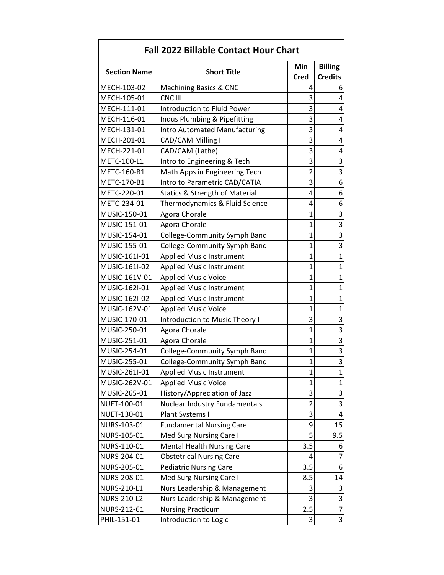| <b>Fall 2022 Billable Contact Hour Chart</b> |                                           |                |                         |
|----------------------------------------------|-------------------------------------------|----------------|-------------------------|
| <b>Section Name</b>                          | <b>Short Title</b>                        | Min            | <b>Billing</b>          |
|                                              |                                           | <b>Cred</b>    | <b>Credits</b>          |
| MECH-103-02                                  | <b>Machining Basics &amp; CNC</b>         | 4              | 6                       |
| MECH-105-01                                  | CNC III                                   | 3              | 4                       |
| MECH-111-01                                  | Introduction to Fluid Power               | 3              | 4                       |
| MECH-116-01                                  | Indus Plumbing & Pipefitting              | 3              | 4                       |
| MECH-131-01                                  | <b>Intro Automated Manufacturing</b>      | 3              | 4                       |
| MECH-201-01                                  | CAD/CAM Milling I                         | 3              | 4                       |
| MECH-221-01                                  | CAD/CAM (Lathe)                           | 3              | 4                       |
| METC-100-L1                                  | Intro to Engineering & Tech               | 3              | 3                       |
| METC-160-B1                                  | Math Apps in Engineering Tech             | $\overline{2}$ | 3                       |
| METC-170-B1                                  | Intro to Parametric CAD/CATIA             | 3              | 6                       |
| METC-220-01                                  | <b>Statics &amp; Strength of Material</b> | 4              | 6                       |
| METC-234-01                                  | Thermodynamics & Fluid Science            | 4              | 6                       |
| MUSIC-150-01                                 | Agora Chorale                             | $\mathbf{1}$   | 3                       |
| MUSIC-151-01                                 | Agora Chorale                             | $\overline{1}$ | $\overline{\mathbf{3}}$ |
| MUSIC-154-01                                 | College-Community Symph Band              | $\mathbf{1}$   | 3                       |
| MUSIC-155-01                                 | <b>College-Community Symph Band</b>       | $\overline{1}$ | 3                       |
| MUSIC-161I-01                                | <b>Applied Music Instrument</b>           | $\mathbf{1}$   | $\mathbf{1}$            |
| MUSIC-161I-02                                | <b>Applied Music Instrument</b>           | $\mathbf{1}$   | $\mathbf{1}$            |
| MUSIC-161V-01                                | <b>Applied Music Voice</b>                | $\mathbf{1}$   | $\mathbf{1}$            |
| MUSIC-162I-01                                | <b>Applied Music Instrument</b>           | $\overline{1}$ | $\mathbf{1}$            |
| MUSIC-162I-02                                | <b>Applied Music Instrument</b>           | 1              | $\mathbf{1}$            |
| MUSIC-162V-01                                | <b>Applied Music Voice</b>                | $\overline{1}$ | $\mathbf{1}$            |
| MUSIC-170-01                                 | Introduction to Music Theory I            | 3              | 3                       |
| MUSIC-250-01                                 | Agora Chorale                             | $\mathbf{1}$   | 3                       |
| MUSIC-251-01                                 | Agora Chorale                             | $\mathbf{1}$   | 3                       |
| MUSIC-254-01                                 | College-Community Symph Band              | $\overline{1}$ | $\overline{3}$          |
| MUSIC-255-01                                 | <b>College-Community Symph Band</b>       | $\mathbf{1}$   | 3                       |
| MUSIC-261I-01                                | <b>Applied Music Instrument</b>           | $\mathbf 1$    | 1                       |
| MUSIC-262V-01                                | <b>Applied Music Voice</b>                | 1              | $\mathbf{1}$            |
| MUSIC-265-01                                 | History/Appreciation of Jazz              | 3              | 3                       |
| NUET-100-01                                  | <b>Nuclear Industry Fundamentals</b>      | 2              | 3                       |
| NUET-130-01                                  | Plant Systems I                           | 3              | 4                       |
| NURS-103-01                                  | <b>Fundamental Nursing Care</b>           | 9              | 15                      |
| NURS-105-01                                  | Med Surg Nursing Care I                   | 5              | 9.5                     |
| NURS-110-01                                  | <b>Mental Health Nursing Care</b>         | 3.5            | 6                       |
| NURS-204-01                                  | <b>Obstetrical Nursing Care</b>           | 4              | $\overline{7}$          |
| NURS-205-01                                  | <b>Pediatric Nursing Care</b>             | 3.5            | 6                       |
| NURS-208-01                                  | Med Surg Nursing Care II                  | 8.5            | 14                      |
| NURS-210-L1                                  | Nurs Leadership & Management              | 3              | 3                       |
| <b>NURS-210-L2</b>                           | Nurs Leadership & Management              | 3              | 3                       |
| NURS-212-61                                  | <b>Nursing Practicum</b>                  | 2.5            | $\overline{7}$          |
| PHIL-151-01                                  | Introduction to Logic                     | 3              | $\overline{3}$          |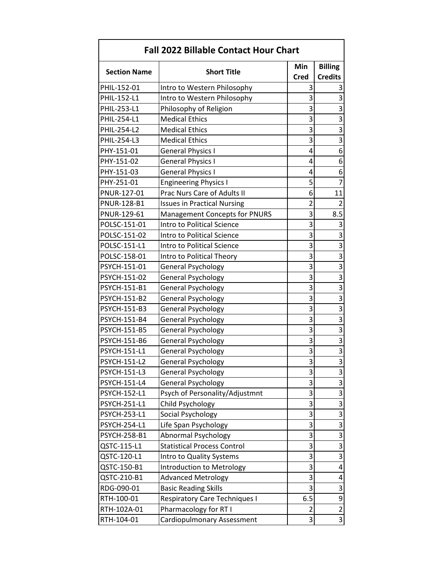| <b>Fall 2022 Billable Contact Hour Chart</b> |                                      |                |                         |
|----------------------------------------------|--------------------------------------|----------------|-------------------------|
|                                              |                                      | Min            | <b>Billing</b>          |
| <b>Section Name</b>                          | <b>Short Title</b>                   | <b>Cred</b>    | <b>Credits</b>          |
| PHIL-152-01                                  | Intro to Western Philosophy          | 3              | 3                       |
| PHIL-152-L1                                  | Intro to Western Philosophy          | 3              | 3                       |
| PHIL-253-L1                                  | Philosophy of Religion               | 3              | 3                       |
| PHIL-254-L1                                  | <b>Medical Ethics</b>                | 3              | 3                       |
| PHIL-254-L2                                  | <b>Medical Ethics</b>                | 3              | 3                       |
| PHIL-254-L3                                  | <b>Medical Ethics</b>                | 3              | 3                       |
| PHY-151-01                                   | <b>General Physics I</b>             | 4              | 6                       |
| PHY-151-02                                   | <b>General Physics I</b>             | 4              | 6                       |
| PHY-151-03                                   | <b>General Physics I</b>             | 4              | 6                       |
| PHY-251-01                                   | <b>Engineering Physics I</b>         | 5              | $\overline{7}$          |
| PNUR-127-01                                  | Prac Nurs Care of Adults II          | 6              | 11                      |
| <b>PNUR-128-B1</b>                           | <b>Issues in Practical Nursing</b>   | $\overline{c}$ | $\overline{2}$          |
| PNUR-129-61                                  | <b>Management Concepts for PNURS</b> | 3              | 8.5                     |
| POLSC-151-01                                 | Intro to Political Science           | 3              | 3                       |
| POLSC-151-02                                 | Intro to Political Science           | 3              | 3                       |
| POLSC-151-L1                                 | Intro to Political Science           | 3              | 3                       |
| POLSC-158-01                                 | Intro to Political Theory            | 3              | 3                       |
| PSYCH-151-01                                 | <b>General Psychology</b>            | 3              | 3                       |
| PSYCH-151-02                                 | <b>General Psychology</b>            | 3              | 3                       |
| PSYCH-151-B1                                 | <b>General Psychology</b>            | 3              | 3                       |
| <b>PSYCH-151-B2</b>                          | <b>General Psychology</b>            | 3              | $\overline{\mathbf{3}}$ |
| PSYCH-151-B3                                 | <b>General Psychology</b>            | 3              | $\overline{\mathbf{3}}$ |
| PSYCH-151-B4                                 | <b>General Psychology</b>            | 3              | 3                       |
| <b>PSYCH-151-B5</b>                          | <b>General Psychology</b>            | 3              | 3                       |
| PSYCH-151-B6                                 | <b>General Psychology</b>            | 3              | 3                       |
| PSYCH-151-L1                                 | <b>General Psychology</b>            | 3              | 3                       |
| <b>PSYCH-151-L2</b>                          | <b>General Psychology</b>            | 3              | $\overline{3}$          |
| <b>PSYCH-151-L3</b>                          | <b>General Psychology</b>            | 3              | 3                       |
| <b>PSYCH-151-L4</b>                          | <b>General Psychology</b>            | 3              | 3                       |
| <b>PSYCH-152-L1</b>                          | Psych of Personality/Adjustmnt       | 3              | 3                       |
| <b>PSYCH-251-L1</b>                          | Child Psychology                     | 3              | $\overline{3}$          |
| <b>PSYCH-253-L1</b>                          | Social Psychology                    | 3              | $\overline{\mathbf{3}}$ |
| <b>PSYCH-254-L1</b>                          | Life Span Psychology                 | 3              | 3                       |
| <b>PSYCH-258-B1</b>                          | <b>Abnormal Psychology</b>           | 3              | $\overline{3}$          |
| QSTC-115-L1                                  | <b>Statistical Process Control</b>   | 3              | 3                       |
| QSTC-120-L1                                  | Intro to Quality Systems             | 3              | 3                       |
| QSTC-150-B1                                  | Introduction to Metrology            | 3              | 4                       |
| QSTC-210-B1                                  | <b>Advanced Metrology</b>            | 3              | 4                       |
| RDG-090-01                                   | <b>Basic Reading Skills</b>          | 3              | 3                       |
| RTH-100-01                                   | <b>Respiratory Care Techniques I</b> | 6.5            | 9                       |
| RTH-102A-01                                  | Pharmacology for RT I                | $\overline{2}$ | $\overline{2}$          |
| RTH-104-01                                   | Cardiopulmonary Assessment           | 3              | 3                       |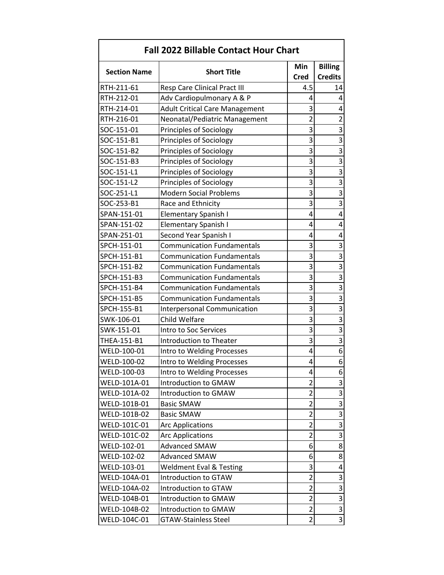| <b>Fall 2022 Billable Contact Hour Chart</b> |                                       |                         |                           |  |
|----------------------------------------------|---------------------------------------|-------------------------|---------------------------|--|
| <b>Billing</b><br>Min                        |                                       |                         |                           |  |
| <b>Section Name</b>                          | <b>Short Title</b>                    | <b>Cred</b>             | <b>Credits</b>            |  |
| RTH-211-61                                   | <b>Resp Care Clinical Pract III</b>   | 4.5                     | 14                        |  |
| RTH-212-01                                   | Adv Cardiopulmonary A & P             | 4                       | 4                         |  |
| RTH-214-01                                   | <b>Adult Critical Care Management</b> | 3                       | 4                         |  |
| RTH-216-01                                   | Neonatal/Pediatric Management         | $\overline{\mathbf{c}}$ | $\overline{2}$            |  |
| SOC-151-01                                   | Principles of Sociology               | 3                       | $\overline{3}$            |  |
| SOC-151-B1                                   | Principles of Sociology               | 3                       | $\overline{\overline{3}}$ |  |
| SOC-151-B2                                   | Principles of Sociology               | 3                       | $\overline{3}$            |  |
| SOC-151-B3                                   | Principles of Sociology               | 3                       | $\overline{3}$            |  |
| SOC-151-L1                                   | Principles of Sociology               | 3                       | $\overline{\mathbf{3}}$   |  |
| SOC-151-L2                                   | Principles of Sociology               | 3                       | $\overline{3}$            |  |
| SOC-251-L1                                   | <b>Modern Social Problems</b>         | 3                       | $\overline{3}$            |  |
| SOC-253-B1                                   | Race and Ethnicity                    | 3                       | $\overline{3}$            |  |
| SPAN-151-01                                  | <b>Elementary Spanish I</b>           | 4                       | 4                         |  |
| SPAN-151-02                                  | <b>Elementary Spanish I</b>           | 4                       | 4                         |  |
| SPAN-251-01                                  | Second Year Spanish I                 | 4                       | 4                         |  |
| SPCH-151-01                                  | <b>Communication Fundamentals</b>     | 3                       | 3                         |  |
| SPCH-151-B1                                  | <b>Communication Fundamentals</b>     | 3                       | $\overline{3}$            |  |
| SPCH-151-B2                                  | <b>Communication Fundamentals</b>     | 3                       | $\overline{\mathbf{3}}$   |  |
| SPCH-151-B3                                  | <b>Communication Fundamentals</b>     | 3                       | $\overline{3}$            |  |
| SPCH-151-B4                                  | <b>Communication Fundamentals</b>     | 3                       | $\overline{\mathbf{3}}$   |  |
| SPCH-151-B5                                  | <b>Communication Fundamentals</b>     | 3                       | $\overline{\mathbf{3}}$   |  |
| SPCH-155-B1                                  | <b>Interpersonal Communication</b>    | 3                       | $\overline{3}$            |  |
| SWK-106-01                                   | Child Welfare                         | 3                       | $\overline{3}$            |  |
| SWK-151-01                                   | Intro to Soc Services                 | 3                       | $\overline{\mathbf{3}}$   |  |
| THEA-151-B1                                  | <b>Introduction to Theater</b>        | 3                       | $\overline{\mathbf{3}}$   |  |
| WELD-100-01                                  | Intro to Welding Processes            | 4                       | $\overline{6}$            |  |
| WELD-100-02                                  | Intro to Welding Processes            | 4                       | 6                         |  |
| WELD-100-03                                  | Intro to Welding Processes            | 4                       | 6                         |  |
| WELD-101A-01                                 | Introduction to GMAW                  | 2                       | 3                         |  |
| WELD-101A-02                                 | Introduction to GMAW                  | 2                       | $\overline{3}$            |  |
| WELD-101B-01                                 | <b>Basic SMAW</b>                     | $\overline{2}$          | $\overline{\mathbf{3}}$   |  |
| WELD-101B-02                                 | <b>Basic SMAW</b>                     | $\overline{\mathbf{c}}$ | $\overline{\mathbf{3}}$   |  |
| WELD-101C-01                                 | <b>Arc Applications</b>               | $\overline{c}$          | $\overline{3}$            |  |
| WELD-101C-02                                 | <b>Arc Applications</b>               | $\overline{c}$          | $\overline{\mathbf{3}}$   |  |
| WELD-102-01                                  | <b>Advanced SMAW</b>                  | 6                       | 8                         |  |
| WELD-102-02                                  | <b>Advanced SMAW</b>                  | 6                       | 8                         |  |
| WELD-103-01                                  | <b>Weldment Eval &amp; Testing</b>    | 3                       | 4                         |  |
| WELD-104A-01                                 | Introduction to GTAW                  | $\overline{2}$          | 3                         |  |
| WELD-104A-02                                 | Introduction to GTAW                  | $\overline{c}$          | $\overline{3}$            |  |
| WELD-104B-01                                 | Introduction to GMAW                  | $\overline{\mathbf{c}}$ | $\overline{3}$            |  |
| WELD-104B-02                                 | Introduction to GMAW                  | $\overline{2}$          | $\overline{3}$            |  |
| WELD-104C-01                                 | <b>GTAW-Stainless Steel</b>           | 2                       | $\overline{3}$            |  |